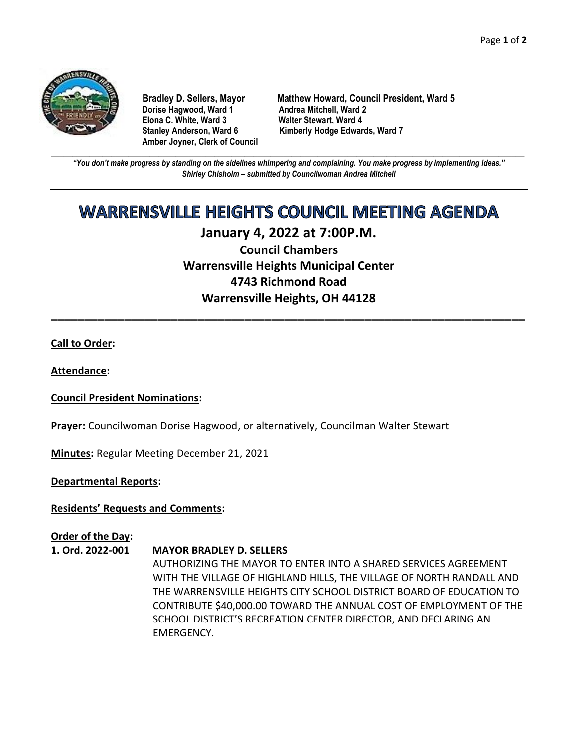

**Dorise Hagwood, Ward 1 Elona C. White, Ward 3 Walter Stewart, Ward 4 Amber Joyner, Clerk of Council**

**Bradley D. Sellers, Mayor Matthew Howard, Council President, Ward 5** Stanley Anderson, Ward 6 Kimberly Hodge Edwards, Ward 7

**\_\_\_\_\_\_\_\_\_\_\_\_\_\_\_\_\_\_\_\_\_\_\_\_\_\_\_\_\_\_\_\_\_\_\_\_\_\_\_\_\_\_\_\_\_\_\_\_\_\_\_\_\_\_\_\_\_\_\_\_\_\_\_\_\_\_\_\_\_\_\_\_\_\_\_\_\_\_\_\_\_\_\_\_\_\_\_\_\_\_\_\_\_\_\_\_\_\_\_\_\_\_\_\_\_\_\_\_\_\_** *"You don't make progress by standing on the sidelines whimpering and complaining. You make progress by implementing ideas." Shirley Chisholm – submitted by Councilwoman Andrea Mitchell*

# **WARRENSVILLE HEIGHTS COUNCIL MEETING AGENDA**

## **January 4, 2022 at 7:00P.M.**

**Council Chambers Warrensville Heights Municipal Center 4743 Richmond Road Warrensville Heights, OH 44128**

**\_\_\_\_\_\_\_\_\_\_\_\_\_\_\_\_\_\_\_\_\_\_\_\_\_\_\_\_\_\_\_\_\_\_\_\_\_\_\_\_\_\_\_\_\_\_\_\_\_\_\_\_\_\_\_\_\_\_\_\_\_\_\_\_\_\_\_\_\_\_\_**

#### **Call to Order:**

**Attendance:**

#### **Council President Nominations:**

**Prayer:** Councilwoman Dorise Hagwood, or alternatively, Councilman Walter Stewart

**Minutes:** Regular Meeting December 21, 2021

**Departmental Reports:**

#### **Residents' Requests and Comments:**

#### **Order of the Day:**

### **1. Ord. 2022-001 MAYOR BRADLEY D. SELLERS**

AUTHORIZING THE MAYOR TO ENTER INTO A SHARED SERVICES AGREEMENT WITH THE VILLAGE OF HIGHLAND HILLS, THE VILLAGE OF NORTH RANDALL AND THE WARRENSVILLE HEIGHTS CITY SCHOOL DISTRICT BOARD OF EDUCATION TO CONTRIBUTE \$40,000.00 TOWARD THE ANNUAL COST OF EMPLOYMENT OF THE SCHOOL DISTRICT'S RECREATION CENTER DIRECTOR, AND DECLARING AN EMERGENCY.